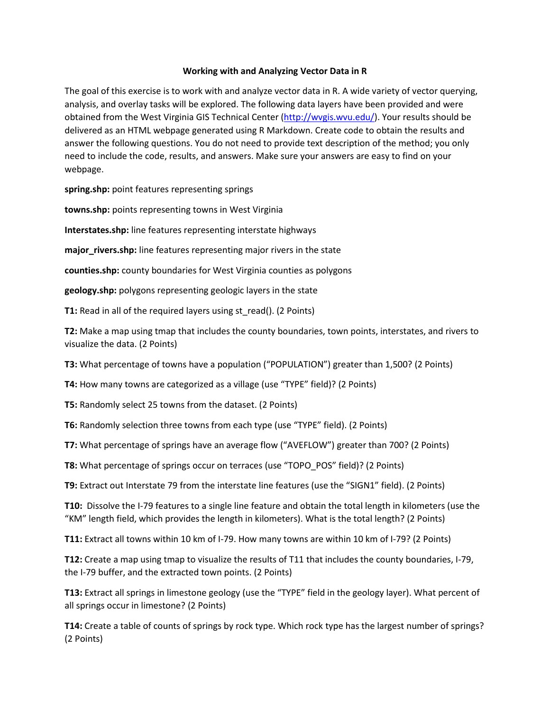## **Working with and Analyzing Vector Data in R**

The goal of this exercise is to work with and analyze vector data in R. A wide variety of vector querying, analysis, and overlay tasks will be explored. The following data layers have been provided and were obtained from the West Virginia GIS Technical Center [\(http://wvgis.wvu.edu/\)](http://wvgis.wvu.edu/). Your results should be delivered as an HTML webpage generated using R Markdown. Create code to obtain the results and answer the following questions. You do not need to provide text description of the method; you only need to include the code, results, and answers. Make sure your answers are easy to find on your webpage.

**spring.shp:** point features representing springs

**towns.shp:** points representing towns in West Virginia

**Interstates.shp:** line features representing interstate highways

**major\_rivers.shp:** line features representing major rivers in the state

**counties.shp:** county boundaries for West Virginia counties as polygons

**geology.shp:** polygons representing geologic layers in the state

**T1:** Read in all of the required layers using st\_read(). (2 Points)

**T2:** Make a map using tmap that includes the county boundaries, town points, interstates, and rivers to visualize the data. (2 Points)

**T3:** What percentage of towns have a population ("POPULATION") greater than 1,500? (2 Points)

**T4:** How many towns are categorized as a village (use "TYPE" field)? (2 Points)

**T5:** Randomly select 25 towns from the dataset. (2 Points)

**T6:** Randomly selection three towns from each type (use "TYPE" field). (2 Points)

**T7:** What percentage of springs have an average flow ("AVEFLOW") greater than 700? (2 Points)

**T8:** What percentage of springs occur on terraces (use "TOPO\_POS" field)? (2 Points)

**T9:** Extract out Interstate 79 from the interstate line features (use the "SIGN1" field). (2 Points)

**T10:** Dissolve the I-79 features to a single line feature and obtain the total length in kilometers (use the "KM" length field, which provides the length in kilometers). What is the total length? (2 Points)

**T11:** Extract all towns within 10 km of I-79. How many towns are within 10 km of I-79? (2 Points)

**T12:** Create a map using tmap to visualize the results of T11 that includes the county boundaries, I-79, the I-79 buffer, and the extracted town points. (2 Points)

**T13:** Extract all springs in limestone geology (use the "TYPE" field in the geology layer). What percent of all springs occur in limestone? (2 Points)

**T14:** Create a table of counts of springs by rock type. Which rock type has the largest number of springs? (2 Points)